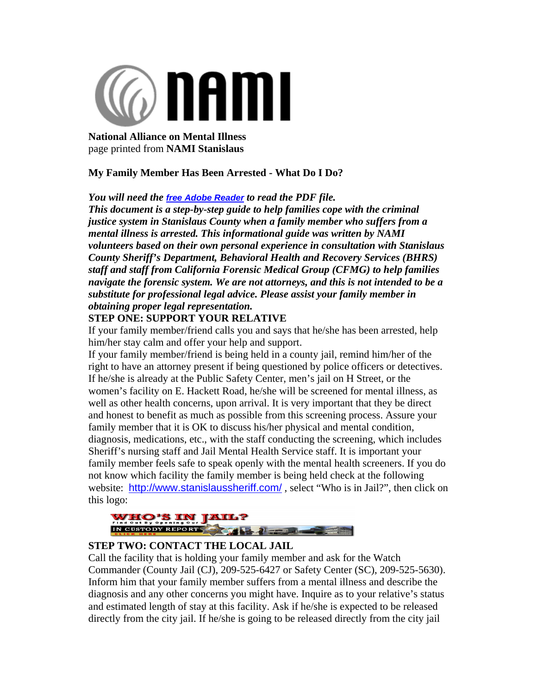

**National Alliance on Mental Illness**  page printed from **NAMI Stanislaus**

## **My Family Member Has Been Arrested - What Do I Do?**

*You will need the free Adobe Reader to read the PDF file.*

*This document is a step-by-step guide to help families cope with the criminal justice system in Stanislaus County when a family member who suffers from a mental illness is arrested. This informational guide was written by NAMI volunteers based on their own personal experience in consultation with Stanislaus County Sheriff's Department, Behavioral Health and Recovery Services (BHRS) staff and staff from California Forensic Medical Group (CFMG) to help families navigate the forensic system. We are not attorneys, and this is not intended to be a substitute for professional legal advice. Please assist your family member in obtaining proper legal representation.*

# **STEP ONE: SUPPORT YOUR RELATIVE**

If your family member/friend calls you and says that he/she has been arrested, help him/her stay calm and offer your help and support.

If your family member/friend is being held in a county jail, remind him/her of the right to have an attorney present if being questioned by police officers or detectives. If he/she is already at the Public Safety Center, men's jail on H Street, or the women's facility on E. Hackett Road, he/she will be screened for mental illness, as well as other health concerns, upon arrival. It is very important that they be direct and honest to benefit as much as possible from this screening process. Assure your family member that it is OK to discuss his/her physical and mental condition, diagnosis, medications, etc., with the staff conducting the screening, which includes Sheriff's nursing staff and Jail Mental Health Service staff. It is important your family member feels safe to speak openly with the mental health screeners. If you do not know which facility the family member is being held check at the following website: http://www.stanislaussheriff.com/, select "Who is in Jail?", then click on this logo:



## **STEP TWO: CONTACT THE LOCAL JAIL**

Call the facility that is holding your family member and ask for the Watch Commander (County Jail (CJ), 209-525-6427 or Safety Center (SC), 209-525-5630). Inform him that your family member suffers from a mental illness and describe the diagnosis and any other concerns you might have. Inquire as to your relative's status and estimated length of stay at this facility. Ask if he/she is expected to be released directly from the city jail. If he/she is going to be released directly from the city jail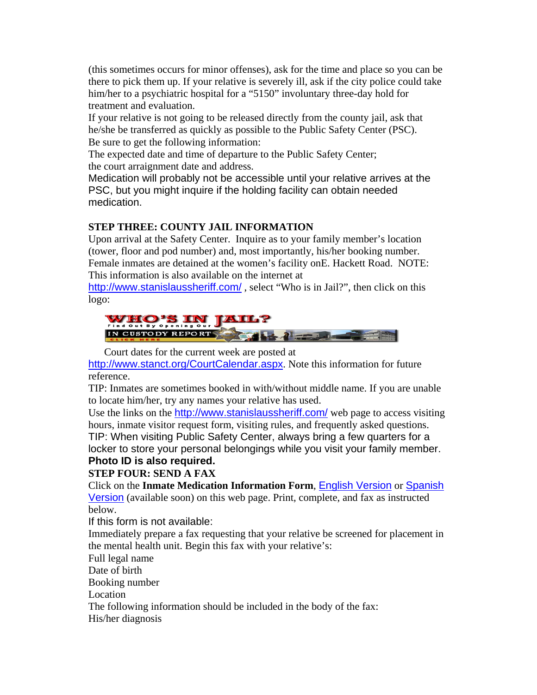(this sometimes occurs for minor offenses), ask for the time and place so you can be there to pick them up. If your relative is severely ill, ask if the city police could take him/her to a psychiatric hospital for a "5150" involuntary three-day hold for treatment and evaluation.

If your relative is not going to be released directly from the county jail, ask that he/she be transferred as quickly as possible to the Public Safety Center (PSC). Be sure to get the following information:

The expected date and time of departure to the Public Safety Center; the court arraignment date and address.

Medication will probably not be accessible until your relative arrives at the PSC, but you might inquire if the holding facility can obtain needed medication.

# **STEP THREE: COUNTY JAIL INFORMATION**

Upon arrival at the Safety Center. Inquire as to your family member's location (tower, floor and pod number) and, most importantly, his/her booking number. Female inmates are detained at the women's facility onE. Hackett Road. NOTE: This information is also available on the internet at

http://www.stanislaussheriff.com/, select "Who is in Jail?", then click on this logo:



Court dates for the current week are posted at

http://www.stanct.org/CourtCalendar.aspx. Note this information for future reference.

TIP: Inmates are sometimes booked in with/without middle name. If you are unable to locate him/her, try any names your relative has used.

Use the links on the http://www.stanislaussheriff.com/ web page to access visiting hours, inmate visitor request form, visiting rules, and frequently asked questions. TIP: When visiting Public Safety Center, always bring a few quarters for a locker to store your personal belongings while you visit your family member. **Photo ID is also required.**

**STEP FOUR: SEND A FAX**

Click on the **Inmate Medication Information Form**, English Version or Spanish Version (available soon) on this web page. Print, complete, and fax as instructed below.

If this form is not available:

Immediately prepare a fax requesting that your relative be screened for placement in the mental health unit. Begin this fax with your relative's:

Full legal name

Date of birth

Booking number

Location

The following information should be included in the body of the fax:

His/her diagnosis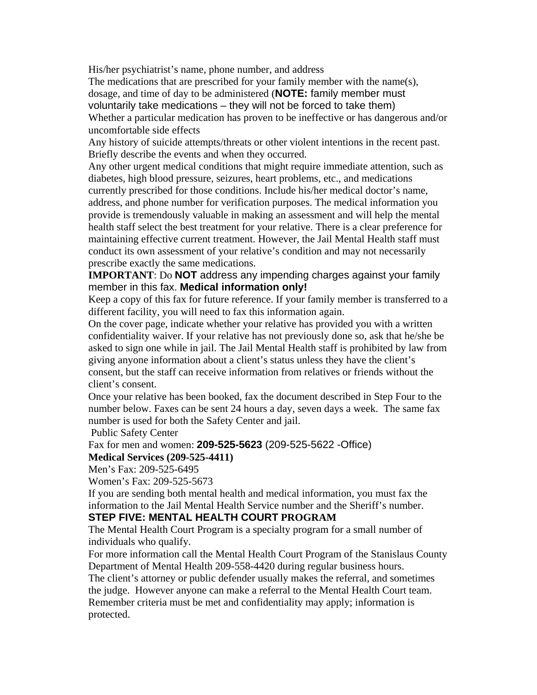His/her psychiatrist's name, phone number, and address

The medications that are prescribed for your family member with the name(s), dosage, and time of day to be administered (**NOTE:** family member must voluntarily take medications – they will not be forced to take them) Whether a particular medication has proven to be ineffective or has dangerous and/or uncomfortable side effects

Any history of suicide attempts/threats or other violent intentions in the recent past. Briefly describe the events and when they occurred.

Any other urgent medical conditions that might require immediate attention, such as diabetes, high blood pressure, seizures, heart problems, etc., and medications currently prescribed for those conditions. Include his/her medical doctor's name, address, and phone number for verification purposes. The medical information you provide is tremendously valuable in making an assessment and will help the mental health staff select the best treatment for your relative. There is a clear preference for maintaining effective current treatment. However, the Jail Mental Health staff must conduct its own assessment of your relative's condition and may not necessarily prescribe exactly the same medications.

**IMPORTANT**: Do **NOT** address any impending charges against your family member in this fax. **Medical information only!**

Keep a copy of this fax for future reference. If your family member is transferred to a different facility, you will need to fax this information again.

On the cover page, indicate whether your relative has provided you with a written confidentiality waiver. If your relative has not previously done so, ask that he/she be asked to sign one while in jail. The Jail Mental Health staff is prohibited by law from giving anyone information about a client's status unless they have the client's consent, but the staff can receive information from relatives or friends without the client's consent.

Once your relative has been booked, fax the document described in Step Four to the number below. Faxes can be sent 24 hours a day, seven days a week. The same fax number is used for both the Safety Center and jail.

Public Safety Center

Fax for men and women: **209-525-5623** (209-525-5622 -Office)

#### **Medical Services (209-525-4411)**

Men's Fax: 209-525-6495

Women's Fax: 209-525-5673

If you are sending both mental health and medical information, you must fax the information to the Jail Mental Health Service number and the Sheriff's number.

## **STEP FIVE: MENTAL HEALTH COURT PROGRAM**

The Mental Health Court Program is a specialty program for a small number of individuals who qualify.

For more information call the Mental Health Court Program of the Stanislaus County Department of Mental Health 209-558-4420 during regular business hours.

The client's attorney or public defender usually makes the referral, and sometimes the judge. However anyone can make a referral to the Mental Health Court team. Remember criteria must be met and confidentiality may apply; information is protected.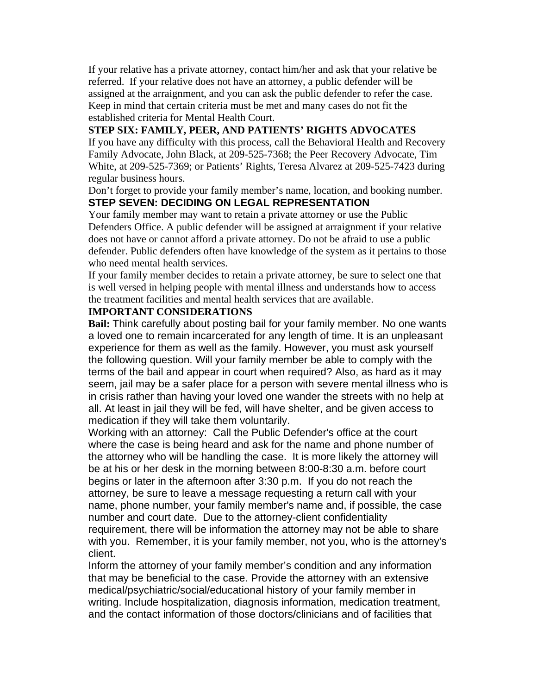If your relative has a private attorney, contact him/her and ask that your relative be referred. If your relative does not have an attorney, a public defender will be assigned at the arraignment, and you can ask the public defender to refer the case. Keep in mind that certain criteria must be met and many cases do not fit the established criteria for Mental Health Court.

## **STEP SIX: FAMILY, PEER, AND PATIENTS' RIGHTS ADVOCATES**

If you have any difficulty with this process, call the Behavioral Health and Recovery Family Advocate, John Black, at 209-525-7368; the Peer Recovery Advocate, Tim White, at 209-525-7369; or Patients' Rights, Teresa Alvarez at 209-525-7423 during regular business hours.

Don't forget to provide your family member's name, location, and booking number. **STEP SEVEN: DECIDING ON LEGAL REPRESENTATION**

Your family member may want to retain a private attorney or use the Public Defenders Office. A public defender will be assigned at arraignment if your relative does not have or cannot afford a private attorney. Do not be afraid to use a public defender. Public defenders often have knowledge of the system as it pertains to those who need mental health services.

If your family member decides to retain a private attorney, be sure to select one that is well versed in helping people with mental illness and understands how to access the treatment facilities and mental health services that are available.

#### **IMPORTANT CONSIDERATIONS**

**Bail:** Think carefully about posting bail for your family member. No one wants a loved one to remain incarcerated for any length of time. It is an unpleasant experience for them as well as the family. However, you must ask yourself the following question. Will your family member be able to comply with the terms of the bail and appear in court when required? Also, as hard as it may seem, jail may be a safer place for a person with severe mental illness who is in crisis rather than having your loved one wander the streets with no help at all. At least in jail they will be fed, will have shelter, and be given access to medication if they will take them voluntarily.

Working with an attorney: Call the Public Defender's office at the court where the case is being heard and ask for the name and phone number of the attorney who will be handling the case. It is more likely the attorney will be at his or her desk in the morning between 8:00-8:30 a.m. before court begins or later in the afternoon after 3:30 p.m. If you do not reach the attorney, be sure to leave a message requesting a return call with your name, phone number, your family member's name and, if possible, the case number and court date. Due to the attorney-client confidentiality requirement, there will be information the attorney may not be able to share with you. Remember, it is your family member, not you, who is the attorney's client.

Inform the attorney of your family member's condition and any information that may be beneficial to the case. Provide the attorney with an extensive medical/psychiatric/social/educational history of your family member in writing. Include hospitalization, diagnosis information, medication treatment, and the contact information of those doctors/clinicians and of facilities that